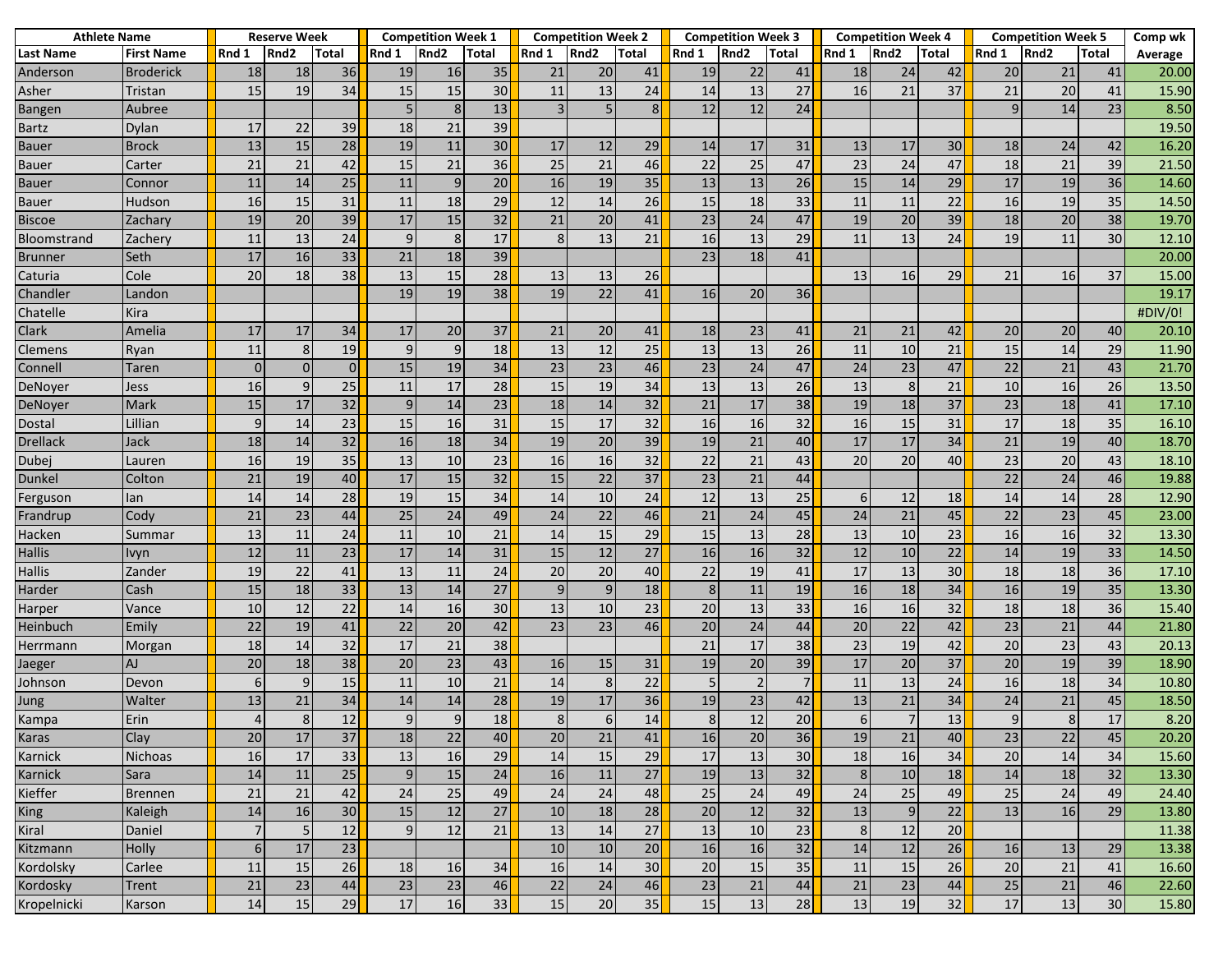| <b>Athlete Name</b> |                   | <b>Reserve Week</b> |                  |              | <b>Competition Week 1</b> |                  |              | <b>Competition Week 2</b> |                  |       |       | <b>Competition Week 3</b> |                |       | <b>Competition Week 4</b> |              | <b>Competition Week 5</b> |                  |              | Comp wk |
|---------------------|-------------------|---------------------|------------------|--------------|---------------------------|------------------|--------------|---------------------------|------------------|-------|-------|---------------------------|----------------|-------|---------------------------|--------------|---------------------------|------------------|--------------|---------|
| Last Name           | <b>First Name</b> | Rnd 1               | Rnd <sub>2</sub> | <b>Total</b> | Rnd 1                     | Rnd <sub>2</sub> | <b>Total</b> | Rnd 1                     | Rnd <sub>2</sub> | Total | Rnd 1 | Rnd <sub>2</sub>          | Total          | Rnd 1 | Rnd <sub>2</sub>          | <b>Total</b> | Rnd 1                     | Rnd <sub>2</sub> | <b>Total</b> | Average |
| Anderson            | <b>Broderick</b>  | 18                  | 18               | 36           | 19                        | 16               | 35           | 21                        | 20               | 41    | 19    | 22                        | 41             | 18    | 24                        | 42           | 20                        | 21               | 41           | 20.00   |
| Asher               | Tristan           | 15                  | 19               | 34           | 15                        | 15               | 30           | 11                        | 13               | 24    | 14    | 13                        | 27             | 16    | 21                        | 37           | 21                        | 20               | 41           | 15.90   |
| <b>Bangen</b>       | Aubree            |                     |                  |              | 5                         | 8 <sup>1</sup>   | 13           | $\overline{3}$            | 5                | 8     | 12    | 12                        | 24             |       |                           |              | $\mathsf{q}$              | 14               | 23           | 8.50    |
| <b>Bartz</b>        | Dylan             | 17                  | 22               | 39           | 18                        | 21               | 39           |                           |                  |       |       |                           |                |       |                           |              |                           |                  |              | 19.50   |
| Bauer               | <b>Brock</b>      | 13                  | 15               | 28           | 19                        | 11               | 30           | 17                        | 12               | 29    | 14    | 17                        | 31             | 13    | 17                        | 30           | 18                        | 24               | 42           | 16.20   |
| <b>Bauer</b>        | Carter            | 21                  | 21               | 42           | 15                        | 21               | 36           | 25                        | 21               | 46    | 22    | 25                        | 47             | 23    | 24                        | 47           | 18                        | 21               | 39           | 21.50   |
| <b>Bauer</b>        | Connor            | 11                  | 14               | 25           | 11                        | $\overline{9}$   | 20           | 16                        | 19               | 35    | 13    | 13                        | 26             | 15    | 14                        | 29           | 17                        | 19               | 36           | 14.60   |
| Bauer               | Hudson            | 16                  | 15               | 31           | 11                        | 18               | 29           | 12                        | 14               | 26    | 15    | 18                        | 33             | 11    | 11                        | 22           | 16                        | 19               | 35           | 14.50   |
| <b>Biscoe</b>       | Zachary           | 19                  | 20               | 39           | 17                        | 15               | 32           | 21                        | 20               | 41    | 23    | 24                        | 47             | 19    | 20                        | 39           | 18                        | 20               | 38           | 19.70   |
| <b>Bloomstrand</b>  | Zachery           | 11                  | 13               | 24           | $\overline{9}$            | 8                | 17           | 8                         | 13               | 21    | 16    | 13                        | 29             | 11    | 13                        | 24           | 19                        | 11               | 30           | 12.10   |
| <b>Brunner</b>      | Seth              | 17                  | 16               | 33           | 21                        | 18               | 39           |                           |                  |       | 23    | 18                        | 41             |       |                           |              |                           |                  |              | 20.00   |
| Caturia             | Cole              | 20                  | 18               | 38           | 13                        | 15               | 28           | 13                        | 13               | 26    |       |                           |                | 13    | 16                        | 29           | 21                        | 16               | 37           | 15.00   |
| Chandler            | Landon            |                     |                  |              | 19                        | 19               | 38           | 19                        | 22               | 41    | 16    | 20                        | 36             |       |                           |              |                           |                  |              | 19.17   |
| Chatelle            | Kira              |                     |                  |              |                           |                  |              |                           |                  |       |       |                           |                |       |                           |              |                           |                  |              | #DIV/0! |
| Clark               | Amelia            | 17                  | 17               | 34           | 17                        | 20               | 37           | 21                        | 20               | 41    | 18    | 23                        | 41             | 21    | 21                        | 42           | 20                        | 20               | 40           | 20.10   |
| Clemens             | Ryan              | 11                  | 8                | 19           | 9                         | $\overline{9}$   | 18           | 13                        | 12               | 25    | 13    | 13                        | 26             | 11    | 10                        | 21           | 15                        | 14               | 29           | 11.90   |
| Connell             | Taren             | 0                   | $\Omega$         | $\Omega$     | 15                        | 19               | 34           | 23                        | 23               | 46    | 23    | 24                        | 47             | 24    | 23                        | 47           | 22                        | 21               | 43           | 21.70   |
| DeNoyer             | Jess              | 16                  | 9                | 25           | 11                        | 17               | 28           | 15                        | 19               | 34    | 13    | 13                        | 26             | 13    | 8                         | 21           | 10                        | 16               | 26           | 13.50   |
| DeNoyer             | Mark              | 15                  | 17               | 32           | 9                         | 14               | 23           | 18                        | 14               | 32    | 21    | 17                        | 38             | 19    | 18                        | 37           | 23                        | 18               | 41           | 17.10   |
| Dostal              | Lillian           | $\mathbf{q}$        | 14               | 23           | 15                        | 16               | 31           | 15                        | 17               | 32    | 16    | 16                        | 32             | 16    | 15                        | 31           | 17                        | 18               | 35           | 16.10   |
| <b>Drellack</b>     | Jack              | 18                  | 14               | 32           | 16                        | 18               | 34           | 19                        | 20               | 39    | 19    | 21                        | 40             | 17    | 17                        | 34           | 21                        | 19               | 40           | 18.70   |
| Dubei               | Lauren            | 16                  | 19               | 35           | 13                        | 10               | 23           | 16                        | 16               | 32    | 22    | 21                        | 43             | 20    | 20                        | 40           | 23                        | 20               | 43           | 18.10   |
| Dunkel              | Colton            | 21                  | 19               | 40           | 17                        | 15               | 32           | 15                        | 22               | 37    | 23    | 21                        | 44             |       |                           |              | 22                        | 24               | 46           | 19.88   |
| Ferguson            | lan               | 14                  | 14               | 28           | 19                        | 15               | 34           | 14                        | 10               | 24    | 12    | 13                        | 25             | 6     | 12                        | 18           | 14                        | 14               | 28           | 12.90   |
| Frandrup            | Cody              | 21                  | 23               | 44           | 25                        | 24               | 49           | 24                        | 22               | 46    | 21    | 24                        | 45             | 24    | 21                        | 45           | 22                        | 23               | 45           | 23.00   |
| Hacken              | Summar            | 13                  | 11               | 24           | 11                        | 10               | 21           | 14                        | 15               | 29    | 15    | 13                        | 28             | 13    | 10                        | 23           | 16                        | 16               | 32           | 13.30   |
| <b>Hallis</b>       | Ivyn              | 12                  | 11               | 23           | 17                        | 14               | 31           | 15                        | 12               | 27    | 16    | 16                        | 32             | 12    | 10                        | 22           | 14                        | 19               | 33           | 14.50   |
| <b>Hallis</b>       | Zander            | 19                  | 22               | 41           | 13                        | 11               | 24           | 20                        | 20               | 40    | 22    | 19                        | 41             | 17    | 13                        | 30           | 18                        | 18               | 36           | 17.10   |
| Harder              | Cash              | 15                  | 18               | 33           | 13                        | 14               | 27           | $9$                       | $\mathsf g$      | 18    | 8     | 11                        | 19             | 16    | 18                        | 34           | 16                        | 19               | 35           | 13.30   |
| Harper              | Vance             | 10                  | 12               | 22           | 14                        | 16               | 30           | 13                        | 10               | 23    | 20    | 13                        | 33             | 16    | 16                        | 32           | 18                        | 18               | 36           | 15.40   |
| Heinbuch            | Emily             | 22                  | 19               | 41           | 22                        | 20               | 42           | $\overline{23}$           | $\overline{23}$  | 46    | 20    | 24                        | 44             | 20    | $\overline{22}$           | 42           | $\overline{23}$           | 21               | 44           | 21.80   |
| Herrmann            | Morgan            | 18                  | 14               | 32           | 17                        | 21               | 38           |                           |                  |       | 21    | 17                        | 38             | 23    | 19                        | 42           | 20                        | 23               | 43           | 20.13   |
| Jaeger              | AJ                | 20                  | 18               | 38           | 20                        | 23               | 43           | 16                        | 15               | 31    | 19    | 20                        | 39             | 17    | 20                        | 37           | 20                        | 19               | 39           | 18.90   |
| Johnson             | Devon             | 6                   | 9                | 15           | 11                        | 10               | 21           | 14                        | 8                | 22    |       | $\overline{2}$            | $\overline{7}$ | 11    | 13                        | 24           | 16                        | 18               | 34           | 10.80   |
| Jung                | Walter            | 13                  | 21               | 34           | 14                        | 14               | 28           | 19                        | 17               | 36    | 19    | 23                        | 42             | 13    | 21                        | 34           | 24                        | 21               | 45           | 18.50   |
| Kampa               | Erin              |                     | 8                | 12           | $\overline{9}$            | $\overline{9}$   | 18           | 8                         | 6                | 14    | 8     | 12                        | 20             | 6     |                           | 13           | $\mathbf{q}$              | 8                | 17           | 8.20    |
| Karas               | Clay              | $20\,$              | 17               | 37           | 18                        | 22               | 40           | 20                        | 21               | 41    | 16    | 20                        | 36             | 19    | 21                        | 40           | 23                        | 22               | 45           | 20.20   |
| Karnick             | Nichoas           | 16                  | 17               | 33           | 13                        | 16               | 29           | 14                        | 15               | 29    | 17    | 13                        | 30             | 18    | 16                        | 34           | 20                        | 14               | 34           | 15.60   |
| Karnick             | Sara              | 14                  | 11               | 25           | $\overline{9}$            | 15               | 24           | 16                        | $11\,$           | 27    | 19    | 13                        | 32             | 8     | 10                        | 18           | 14                        | 18               | 32           | 13.30   |
| Kieffer             | <b>Brennen</b>    | 21                  | 21               | 42           | 24                        | 25               | 49           | 24                        | 24               | 48    | 25    | 24                        | 49             | 24    | 25                        | 49           | 25                        | 24               | 49           | 24.40   |
| <b>King</b>         | Kaleigh           | 14                  | 16               | 30           | 15                        | 12               | 27           | 10                        | 18               | 28    | 20    | 12                        | 32             | 13    | 9                         | 22           | 13                        | 16               | 29           | 13.80   |
| Kiral               | Daniel            |                     | 5 <sup>1</sup>   | 12           | $\overline{9}$            | 12               | 21           | 13                        | 14               | 27    | 13    | 10                        | 23             | 8     | 12                        | 20           |                           |                  |              | 11.38   |
| Kitzmann            | Holly             | $6 \overline{6}$    | 17               | 23           |                           |                  |              | 10                        | 10               | 20    | 16    | 16                        | 32             | 14    | 12                        | 26           | 16                        | 13               | 29           | 13.38   |
| Kordolsky           | Carlee            | 11                  | 15               | 26           | 18                        | 16               | 34           | 16                        | 14               | 30    | 20    | 15                        | 35             | 11    | 15                        | 26           | 20                        | 21               | 41           | 16.60   |
| Kordosky            | Trent             | 21                  | 23               | $44\,$       | 23                        | 23               | 46           | 22                        | 24               | 46    | 23    | 21                        | 44             | 21    | 23                        | 44           | 25                        | $21\,$           | 46           | 22.60   |
| Kropelnicki         | Karson            | 14                  | 15               | 29           | 17                        | 16               | 33           | 15                        | 20               | 35    | 15    | 13                        | 28             | 13    | 19                        | 32           | 17                        | 13               | 30           | 15.80   |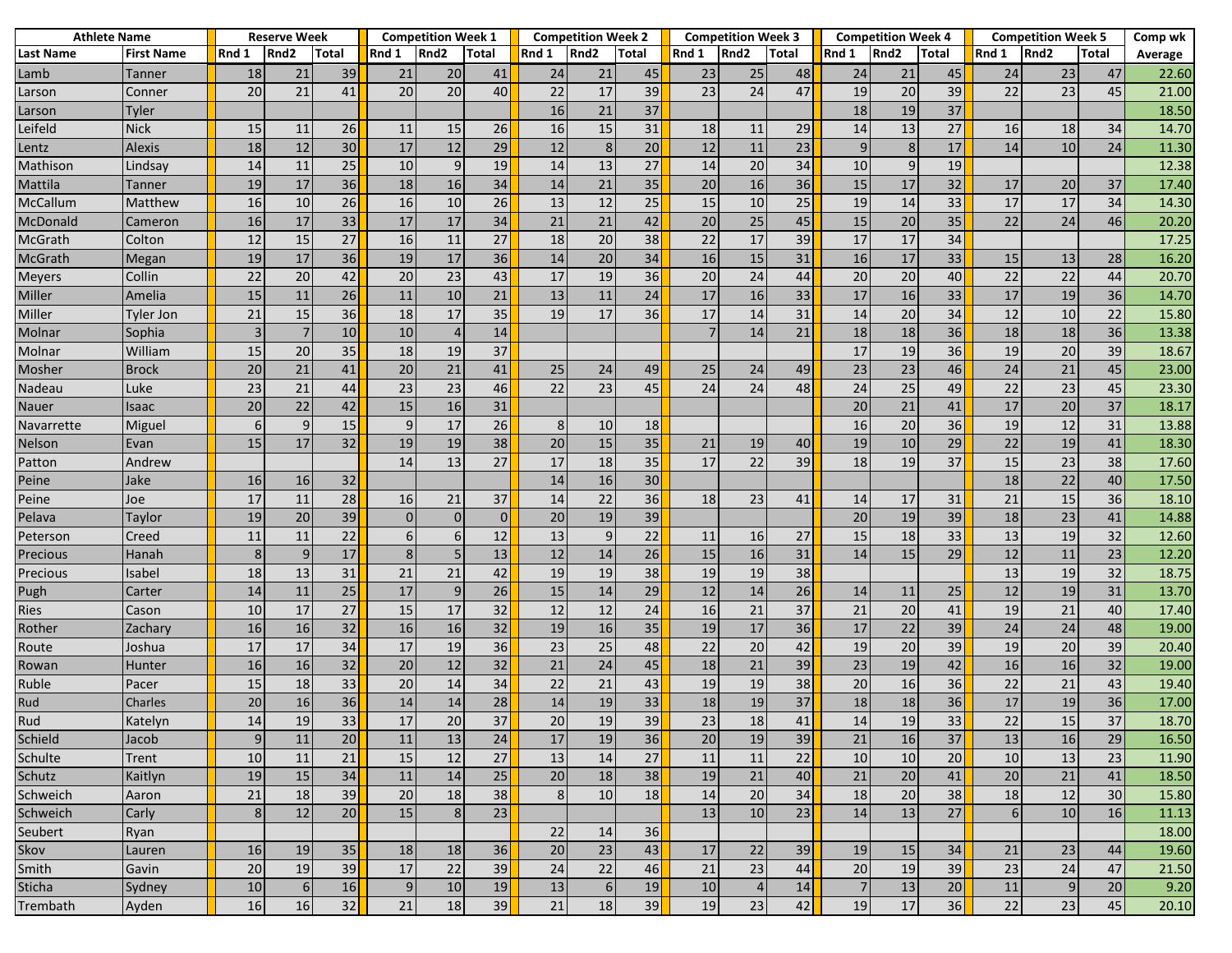| <b>Athlete Name</b> |                   | <b>Reserve Week</b> |                  |              | <b>Competition Week 1</b> |                  |          | <b>Competition Week 2</b> |                  |       |                | <b>Competition Week 3</b> |       |       | <b>Competition Week 4</b> |       | <b>Competition Week 5</b> |                  |              | Comp wk |
|---------------------|-------------------|---------------------|------------------|--------------|---------------------------|------------------|----------|---------------------------|------------------|-------|----------------|---------------------------|-------|-------|---------------------------|-------|---------------------------|------------------|--------------|---------|
| Last Name           | <b>First Name</b> | Rnd 1               | Rnd <sub>2</sub> | <b>Total</b> | Rnd 1                     | Rnd <sub>2</sub> | Total    | Rnd 1                     | Rnd <sub>2</sub> | Total | Rnd 1          | Rnd <sub>2</sub>          | Total | Rnd 1 | Rnd <sub>2</sub>          | Total | Rnd 1                     | Rnd <sub>2</sub> | <b>Total</b> | Average |
| Lamb                | Tanner            | 18                  | 21               | 39           | 21                        | 20               | 41       | 24                        | 21               | 45    | 23             | 25                        | 48    | 24    | 21                        | 45    | 24                        | 23               | 47           | 22.60   |
| Larson              | Conner            | 20                  | 21               | 41           | 20                        | 20               | 40       | 22                        | 17               | 39    | 23             | 24                        | 47    | 19    | 20                        | 39    | 22                        | 23               | 45           | 21.00   |
| Larson              | Tyler             |                     |                  |              |                           |                  |          | 16                        | 21               | 37    |                |                           |       | 18    | 19                        | 37    |                           |                  |              | 18.50   |
| Leifeld             | <b>Nick</b>       | 15                  | 11               | 26           | 11                        | 15               | 26       | 16                        | 15               | 31    | 18             | 11                        | 29    | 14    | 13                        | 27    | 16                        | 18               | 34           | 14.70   |
| Lentz               | <b>Alexis</b>     | 18                  | 12               | 30           | 17                        | 12               | 29       | 12                        | 8                | 20    | 12             | 11                        | 23    | 9     | 8                         | 17    | 14                        | 10               | 24           | 11.30   |
| Mathison            | Lindsay           | 14                  | 11               | 25           | 10                        | $\overline{9}$   | 19       | 14                        | 13               | 27    | 14             | 20                        | 34    | 10    | 9                         | 19    |                           |                  |              | 12.38   |
| Mattila             | Tanner            | 19                  | 17               | 36           | 18                        | 16               | 34       | 14                        | 21               | 35    | 20             | 16                        | 36    | 15    | 17                        | 32    | 17                        | 20               | 37           | 17.40   |
| McCallum            | Matthew           | 16                  | 10               | 26           | 16                        | 10               | 26       | 13                        | 12               | 25    | 15             | 10                        | 25    | 19    | 14                        | 33    | 17                        | 17               | 34           | 14.30   |
| McDonald            | Cameron           | 16                  | 17               | 33           | 17                        | 17               | 34       | 21                        | 21               | 42    | 20             | 25                        | 45    | 15    | 20                        | 35    | 22                        | 24               | 46           | 20.20   |
| McGrath             | Colton            | 12                  | 15               | 27           | 16                        | 11               | 27       | 18                        | 20               | 38    | 22             | 17                        | 39    | 17    | 17                        | 34    |                           |                  |              | 17.25   |
| McGrath             | Megan             | 19                  | 17               | 36           | 19                        | 17               | 36       | 14                        | 20               | 34    | 16             | 15                        | 31    | 16    | 17                        | 33    | 15                        | 13               | 28           | 16.20   |
| <b>Meyers</b>       | Collin            | 22                  | 20               | 42           | 20                        | 23               | 43       | 17                        | 19               | 36    | 20             | 24                        | 44    | 20    | 20                        | 40    | 22                        | 22               | 44           | 20.70   |
| Miller              | Amelia            | 15                  | 11               | 26           | 11                        | 10               | 21       | 13                        | 11               | 24    | 17             | 16                        | 33    | 17    | 16                        | 33    | 17                        | 19               | 36           | 14.70   |
| Miller              | Tyler Jon         | 21                  | 15               | 36           | 18                        | 17               | 35       | 19                        | 17               | 36    | 17             | 14                        | 31    | 14    | 20                        | 34    | 12                        | 10               | 22           | 15.80   |
| Molnar              | Sophia            |                     | $\overline{7}$   | 10           | 10                        | 4                | 14       |                           |                  |       | $\overline{7}$ | 14                        | 21    | 18    | 18                        | 36    | 18                        | 18               | 36           | 13.38   |
| Molnar              | William           | 15                  | 20               | 35           | 18                        | 19               | 37       |                           |                  |       |                |                           |       | 17    | 19                        | 36    | 19                        | 20               | 39           | 18.67   |
| Mosher              | <b>Brock</b>      | 20                  | 21               | 41           | 20                        | 21               | 41       | 25                        | 24               | 49    | 25             | 24                        | 49    | 23    | 23                        | 46    | 24                        | 21               | 45           | 23.00   |
| Nadeau              | Luke              | 23                  | 21               | 44           | 23                        | 23               | 46       | 22                        | 23               | 45    | 24             | 24                        | 48    | 24    | 25                        | 49    | 22                        | 23               | 45           | 23.30   |
| Nauer               | Isaac             | 20                  | 22               | 42           | 15                        | 16               | 31       |                           |                  |       |                |                           |       | 20    | 21                        | 41    | 17                        | 20               | 37           | 18.17   |
| Navarrette          | Miguel            | 6                   | 9                | 15           | 9                         | 17               | 26       | 8                         | 10               | 18    |                |                           |       | 16    | 20                        | 36    | 19                        | 12               | 31           | 13.88   |
| Nelson              | Evan              | 15                  | 17               | 32           | 19                        | 19               | 38       | 20                        | 15               | 35    | 21             | 19                        | 40    | 19    | 10                        | 29    | 22                        | 19               | 41           | 18.30   |
| Patton              | Andrew            |                     |                  |              | 14                        | 13               | 27       | 17                        | 18               | 35    | 17             | 22                        | 39    | 18    | 19                        | 37    | 15                        | 23               | 38           | 17.60   |
| Peine               | Jake              | 16                  | 16               | 32           |                           |                  |          | 14                        | 16               | 30    |                |                           |       |       |                           |       | 18                        | 22               | 40           | 17.50   |
| Peine               | Joe               | 17                  | 11               | 28           | 16                        | 21               | 37       | 14                        | 22               | 36    | 18             | 23                        | 41    | 14    | 17                        | 31    | 21                        | 15               | 36           | 18.10   |
| Pelava              | Taylor            | 19                  | 20               | 39           | $\Omega$                  | $\overline{0}$   | $\Omega$ | 20                        | 19               | 39    |                |                           |       | 20    | 19                        | 39    | 18                        | 23               | 41           | 14.88   |
| Peterson            | Creed             | 11                  | 11               | 22           | 6                         | $6 \mid$         | 12       | 13                        | 9                | 22    | 11             | 16                        | 27    | 15    | 18                        | 33    | 13                        | 19               | 32           | 12.60   |
| Precious            | Hanah             | 8                   | 9                | 17           | 8                         | 5 <sub>l</sub>   | 13       | 12                        | 14               | 26    | 15             | 16                        | 31    | 14    | 15                        | 29    | 12                        | 11               | 23           | 12.20   |
| Precious            | Isabel            | 18                  | 13               | 31           | 21                        | 21               | 42       | 19                        | 19               | 38    | 19             | 19                        | 38    |       |                           |       | 13                        | 19               | 32           | 18.75   |
| Pugh                | Carter            | 14                  | 11               | 25           | 17                        | $\overline{9}$   | 26       | 15                        | 14               | 29    | 12             | 14                        | 26    | 14    | 11                        | 25    | 12                        | 19               | 31           | 13.70   |
| Ries                | Cason             | 10                  | 17               | 27           | 15                        | 17               | 32       | 12                        | 12               | 24    | 16             | 21                        | 37    | 21    | 20                        | 41    | 19                        | 21               | 40           | 17.40   |
| Rother              | Zachary           | 16                  | 16               | 32           | 16                        | 16               | 32       | 19                        | 16               | 35    | 19             | 17                        | 36    | 17    | 22                        | 39    | 24                        | 24               | 48           | 19.00   |
| Route               | Joshua            | 17                  | 17               | 34           | 17                        | 19               | 36       | 23                        | 25               | 48    | 22             | 20                        | 42    | 19    | 20                        | 39    | 19                        | 20               | 39           | 20.40   |
| Rowan               | Hunter            | 16                  | 16               | 32           | 20                        | 12               | 32       | 21                        | 24               | 45    | 18             | 21                        | 39    | 23    | 19                        | 42    | 16                        | 16               | 32           | 19.00   |
| Ruble               | Pacer             | 15                  | 18               | 33           | 20                        | 14               | 34       | 22                        | 21               | 43    | 19             | 19                        | 38    | 20    | 16                        | 36    | 22                        | 21               | 43           | 19.40   |
| Rud                 | Charles           | 20                  | 16               | 36           | 14                        | 14               | 28       | 14                        | 19               | 33    | 18             | 19                        | 37    | 18    | 18                        | 36    | 17                        | 19               | 36           | 17.00   |
| Rud                 | Katelyn           | 14                  | 19               | 33           | 17                        | 20               | 37       | 20                        | 19               | 39    | 23             | 18                        | 41    | 14    | 19                        | 33    | 22                        | 15               | 37           | 18.70   |
| Schield             | Jacob             | 9                   | 11               | 20           | 11                        | 13               | 24       | 17                        | 19               | 36    | 20             | 19                        | 39    | 21    | 16                        | 37    | 13                        | 16               | 29           | 16.50   |
| Schulte             | Trent             | 10                  | 11               | 21           | 15                        | 12               | 27       | 13                        | 14               | 27    | 11             | 11                        | 22    | 10    | 10                        | 20    | 10                        | 13               | 23           | 11.90   |
| Schutz              | Kaitlyn           | 19                  | 15               | 34           | 11                        | 14               | 25       | 20                        | 18               | 38    | 19             | 21                        | 40    | 21    | 20                        | 41    | 20                        | 21               | 41           | 18.50   |
| Schweich            | Aaron             | 21                  | 18               | 39           | 20                        | 18               | 38       | 8                         | 10               | 18    | 14             | 20                        | 34    | 18    | 20                        | 38    | 18                        | 12               | 30           | 15.80   |
| Schweich            | Carly             | 8                   | 12               | 20           | 15                        | 8 <sup>1</sup>   | 23       |                           |                  |       | 13             | 10                        | 23    | 14    | 13                        | 27    | 6 <sup>1</sup>            | 10               | 16           | 11.13   |
| Seubert             | Ryan              |                     |                  |              |                           |                  |          | 22                        | 14               | 36    |                |                           |       |       |                           |       |                           |                  |              | 18.00   |
| Skov                | Lauren            | 16                  | 19               | 35           | 18                        | 18               | 36       | 20                        | 23               | 43    | 17             | 22                        | 39    | 19    | 15                        | 34    | 21                        | 23               | 44           | 19.60   |
| Smith               | Gavin             | 20                  | 19               | 39           | 17                        | 22               | 39       | 24                        | 22               | 46    | 21             | 23                        | 44    | 20    | 19                        | 39    | 23                        | 24               | 47           | 21.50   |
| Sticha              | Sydney            | 10                  | 6                | 16           | 9                         | 10               | 19       | 13                        | 6                | 19    | 10             | $\overline{4}$            | 14    | -7    | 13                        | 20    | 11                        | $\overline{9}$   | 20           | 9.20    |
| Trembath            | Ayden             | 16                  | 16               | 32           | 21                        | 18               | 39       | 21                        | 18               | 39    | 19             | 23                        | 42    | 19    | 17                        | 36    | 22                        | 23               | 45           | 20.10   |